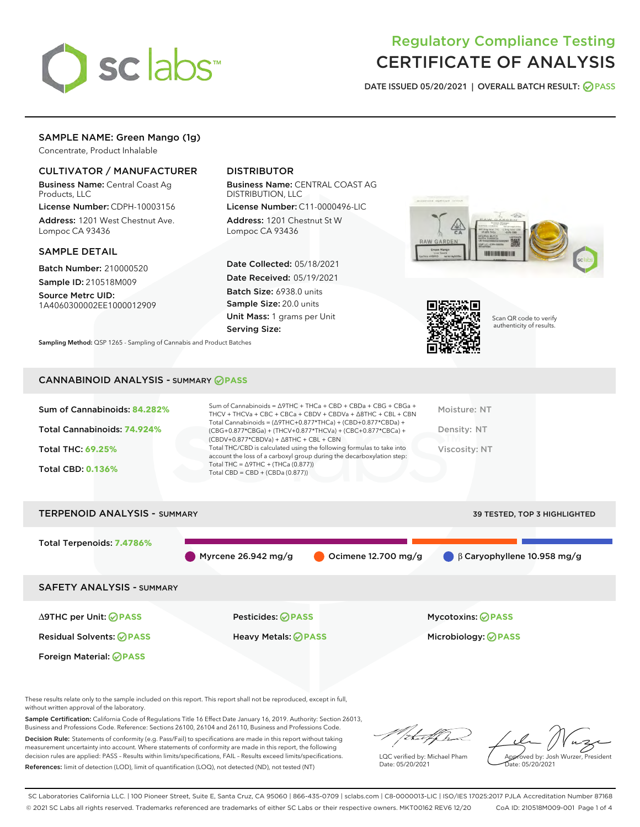

## Regulatory Compliance Testing CERTIFICATE OF ANALYSIS

DATE ISSUED 05/20/2021 | OVERALL BATCH RESULT: @ PASS

## SAMPLE NAME: Green Mango (1g)

Concentrate, Product Inhalable

## CULTIVATOR / MANUFACTURER

Business Name: Central Coast Ag Products, LLC

License Number: CDPH-10003156 Address: 1201 West Chestnut Ave. Lompoc CA 93436

#### SAMPLE DETAIL

Batch Number: 210000520 Sample ID: 210518M009

Source Metrc UID: 1A4060300002EE1000012909

## DISTRIBUTOR

Business Name: CENTRAL COAST AG DISTRIBUTION, LLC

License Number: C11-0000496-LIC Address: 1201 Chestnut St W Lompoc CA 93436

Date Collected: 05/18/2021 Date Received: 05/19/2021 Batch Size: 6938.0 units Sample Size: 20.0 units Unit Mass: 1 grams per Unit Serving Size:





Scan QR code to verify authenticity of results.

Sampling Method: QSP 1265 - Sampling of Cannabis and Product Batches

## CANNABINOID ANALYSIS - SUMMARY **PASS**

| Sum of Cannabinoids: 84.282% | Sum of Cannabinoids = ∆9THC + THCa + CBD + CBDa + CBG + CBGa +<br>THCV + THCVa + CBC + CBCa + CBDV + CBDVa + $\Delta$ 8THC + CBL + CBN                                               | Moisture: NT  |
|------------------------------|--------------------------------------------------------------------------------------------------------------------------------------------------------------------------------------|---------------|
| Total Cannabinoids: 74.924%  | Total Cannabinoids = $(\Delta$ 9THC+0.877*THCa) + (CBD+0.877*CBDa) +<br>(CBG+0.877*CBGa) + (THCV+0.877*THCVa) + (CBC+0.877*CBCa) +<br>$(CBDV+0.877*CBDVa) + \Delta 8THC + CBL + CBN$ | Density: NT   |
| Total THC: 69.25%            | Total THC/CBD is calculated using the following formulas to take into<br>account the loss of a carboxyl group during the decarboxylation step:                                       | Viscosity: NT |
| <b>Total CBD: 0.136%</b>     | Total THC = $\triangle$ 9THC + (THCa (0.877))<br>Total CBD = $CBD + (CBDa (0.877))$                                                                                                  |               |
|                              |                                                                                                                                                                                      |               |

# TERPENOID ANALYSIS - SUMMARY 39 TESTED, TOP 3 HIGHLIGHTED Total Terpenoids: **7.4786%** Myrcene 26.942 mg/g  $\bigcirc$  Ocimene 12.700 mg/g  $\bigcirc$  β Caryophyllene 10.958 mg/g SAFETY ANALYSIS - SUMMARY ∆9THC per Unit: **PASS** Pesticides: **PASS** Mycotoxins: **PASS** Residual Solvents: **PASS** Heavy Metals: **PASS** Microbiology: **PASS** Foreign Material: **PASS**

These results relate only to the sample included on this report. This report shall not be reproduced, except in full, without written approval of the laboratory.

Sample Certification: California Code of Regulations Title 16 Effect Date January 16, 2019. Authority: Section 26013, Business and Professions Code. Reference: Sections 26100, 26104 and 26110, Business and Professions Code.

Decision Rule: Statements of conformity (e.g. Pass/Fail) to specifications are made in this report without taking measurement uncertainty into account. Where statements of conformity are made in this report, the following decision rules are applied: PASS – Results within limits/specifications, FAIL – Results exceed limits/specifications. References: limit of detection (LOD), limit of quantification (LOQ), not detected (ND), not tested (NT)

that f

LQC verified by: Michael Pham Date: 05/20/2021

Approved by: Josh Wurzer, President ate: 05/20/2021

SC Laboratories California LLC. | 100 Pioneer Street, Suite E, Santa Cruz, CA 95060 | 866-435-0709 | sclabs.com | C8-0000013-LIC | ISO/IES 17025:2017 PJLA Accreditation Number 87168 © 2021 SC Labs all rights reserved. Trademarks referenced are trademarks of either SC Labs or their respective owners. MKT00162 REV6 12/20 CoA ID: 210518M009-001 Page 1 of 4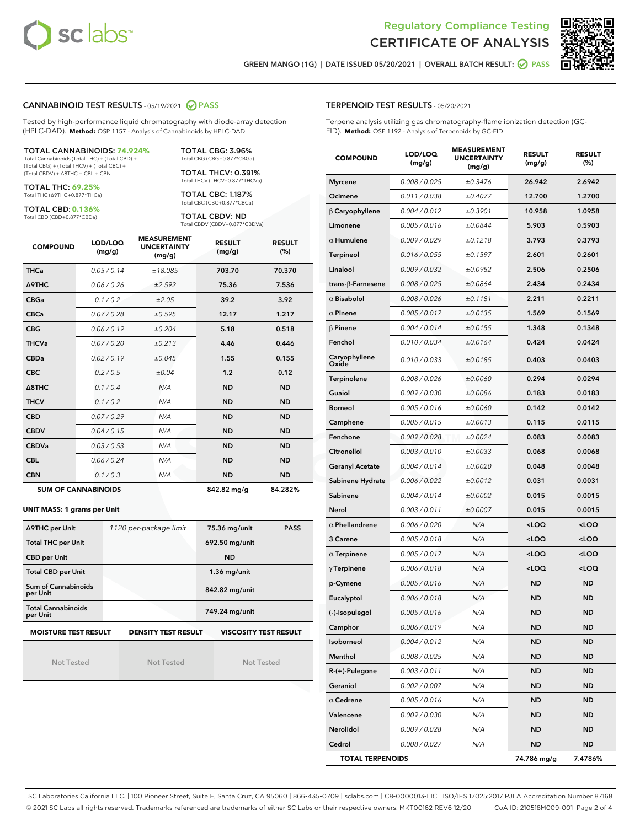



GREEN MANGO (1G) | DATE ISSUED 05/20/2021 | OVERALL BATCH RESULT: @ PASS

#### CANNABINOID TEST RESULTS - 05/19/2021 2 PASS

Tested by high-performance liquid chromatography with diode-array detection (HPLC-DAD). **Method:** QSP 1157 - Analysis of Cannabinoids by HPLC-DAD

#### TOTAL CANNABINOIDS: **74.924%**

Total Cannabinoids (Total THC) + (Total CBD) + (Total CBG) + (Total THCV) + (Total CBC) + (Total CBDV) + ∆8THC + CBL + CBN

TOTAL THC: **69.25%** Total THC (∆9THC+0.877\*THCa)

TOTAL CBD: **0.136%**

Total CBD (CBD+0.877\*CBDa)

TOTAL CBG: 3.96% Total CBG (CBG+0.877\*CBGa)

TOTAL THCV: 0.391% Total THCV (THCV+0.877\*THCVa)

TOTAL CBC: 1.187% Total CBC (CBC+0.877\*CBCa)

TOTAL CBDV: ND Total CBDV (CBDV+0.877\*CBDVa)

| <b>COMPOUND</b>  | LOD/LOQ<br>(mg/g)          | <b>MEASUREMENT</b><br><b>UNCERTAINTY</b><br>(mg/g) | <b>RESULT</b><br>(mg/g) | <b>RESULT</b><br>(%) |
|------------------|----------------------------|----------------------------------------------------|-------------------------|----------------------|
| <b>THCa</b>      | 0.05/0.14                  | ±18.085                                            | 703.70                  | 70.370               |
| <b>A9THC</b>     | 0.06 / 0.26                | ±2.592                                             | 75.36                   | 7.536                |
| <b>CBGa</b>      | 0.1/0.2                    | ±2.05                                              | 39.2                    | 3.92                 |
| <b>CBCa</b>      | 0.07 / 0.28                | ±0.595                                             | 12.17                   | 1.217                |
| <b>CBG</b>       | 0.06/0.19                  | ±0.204                                             | 5.18                    | 0.518                |
| <b>THCVa</b>     | 0.07/0.20                  | ±0.213                                             | 4.46                    | 0.446                |
| <b>CBDa</b>      | 0.02/0.19                  | ±0.045                                             | 1.55                    | 0.155                |
| <b>CBC</b>       | 0.2 / 0.5                  | ±0.04                                              | 1.2                     | 0.12                 |
| $\triangle$ 8THC | 0.1/0.4                    | N/A                                                | <b>ND</b>               | <b>ND</b>            |
| <b>THCV</b>      | 0.1/0.2                    | N/A                                                | <b>ND</b>               | <b>ND</b>            |
| <b>CBD</b>       | 0.07/0.29                  | N/A                                                | <b>ND</b>               | <b>ND</b>            |
| <b>CBDV</b>      | 0.04 / 0.15                | N/A                                                | <b>ND</b>               | <b>ND</b>            |
| <b>CBDVa</b>     | 0.03/0.53                  | N/A                                                | <b>ND</b>               | <b>ND</b>            |
| <b>CBL</b>       | 0.06 / 0.24                | N/A                                                | <b>ND</b>               | <b>ND</b>            |
| <b>CBN</b>       | 0.1/0.3                    | N/A                                                | <b>ND</b>               | <b>ND</b>            |
|                  | <b>SUM OF CANNABINOIDS</b> |                                                    | 842.82 mg/g             | 84.282%              |

#### **UNIT MASS: 1 grams per Unit**

| ∆9THC per Unit                                                                            | 1120 per-package limit | 75.36 mg/unit  | <b>PASS</b> |  |  |
|-------------------------------------------------------------------------------------------|------------------------|----------------|-------------|--|--|
| <b>Total THC per Unit</b>                                                                 |                        | 692.50 mg/unit |             |  |  |
| <b>CBD per Unit</b>                                                                       |                        | <b>ND</b>      |             |  |  |
| <b>Total CBD per Unit</b>                                                                 |                        | $1.36$ mg/unit |             |  |  |
| Sum of Cannabinoids<br>per Unit                                                           |                        | 842.82 mg/unit |             |  |  |
| <b>Total Cannabinoids</b><br>per Unit                                                     |                        | 749.24 mg/unit |             |  |  |
| <b>MOISTURE TEST RESULT</b><br><b>VISCOSITY TEST RESULT</b><br><b>DENSITY TEST RESULT</b> |                        |                |             |  |  |

Not Tested

Not Tested

Not Tested

TERPENOID TEST RESULTS - 05/20/2021

Terpene analysis utilizing gas chromatography-flame ionization detection (GC-FID). **Method:** QSP 1192 - Analysis of Terpenoids by GC-FID

| <b>COMPOUND</b>         | LOD/LOQ<br>(mg/g) | <b>MEASUREMENT</b><br><b>UNCERTAINTY</b><br>(mg/g) | <b>RESULT</b><br>(mg/g)                         | <b>RESULT</b><br>$(\%)$ |
|-------------------------|-------------------|----------------------------------------------------|-------------------------------------------------|-------------------------|
| <b>Myrcene</b>          | 0.008 / 0.025     | ±0.3476                                            | 26.942                                          | 2.6942                  |
| Ocimene                 | 0.011 / 0.038     | ±0.4077                                            | 12.700                                          | 1.2700                  |
| $\beta$ Caryophyllene   | 0.004 / 0.012     | ±0.3901                                            | 10.958                                          | 1.0958                  |
| Limonene                | 0.005 / 0.016     | ±0.0844                                            | 5.903                                           | 0.5903                  |
| $\alpha$ Humulene       | 0.009/0.029       | ±0.1218                                            | 3.793                                           | 0.3793                  |
| Terpineol               | 0.016 / 0.055     | ±0.1597                                            | 2.601                                           | 0.2601                  |
| Linalool                | 0.009 / 0.032     | ±0.0952                                            | 2.506                                           | 0.2506                  |
| trans-β-Farnesene       | 0.008 / 0.025     | ±0.0864                                            | 2.434                                           | 0.2434                  |
| $\alpha$ Bisabolol      | 0.008 / 0.026     | ±0.1181                                            | 2.211                                           | 0.2211                  |
| $\alpha$ Pinene         | 0.005 / 0.017     | ±0.0135                                            | 1.569                                           | 0.1569                  |
| <b>β Pinene</b>         | 0.004 / 0.014     | ±0.0155                                            | 1.348                                           | 0.1348                  |
| Fenchol                 | 0.010 / 0.034     | ±0.0164                                            | 0.424                                           | 0.0424                  |
| Caryophyllene<br>Oxide  | 0.010 / 0.033     | ±0.0185                                            | 0.403                                           | 0.0403                  |
| Terpinolene             | 0.008 / 0.026     | ±0.0060                                            | 0.294                                           | 0.0294                  |
| Guaiol                  | 0.009 / 0.030     | ±0.0086                                            | 0.183                                           | 0.0183                  |
| <b>Borneol</b>          | 0.005 / 0.016     | ±0.0060                                            | 0.142                                           | 0.0142                  |
| Camphene                | 0.005 / 0.015     | ±0.0013                                            | 0.115                                           | 0.0115                  |
| Fenchone                | 0.009 / 0.028     | ±0.0024                                            | 0.083                                           | 0.0083                  |
| Citronellol             | 0.003 / 0.010     | ±0.0033                                            | 0.068                                           | 0.0068                  |
| <b>Geranyl Acetate</b>  | 0.004 / 0.014     | ±0.0020                                            | 0.048                                           | 0.0048                  |
| Sabinene Hydrate        | 0.006 / 0.022     | ±0.0012                                            | 0.031                                           | 0.0031                  |
| Sabinene                | 0.004 / 0.014     | ±0.0002                                            | 0.015                                           | 0.0015                  |
| Nerol                   | 0.003 / 0.011     | ±0.0007                                            | 0.015                                           | 0.0015                  |
| $\alpha$ Phellandrene   | 0.006 / 0.020     | N/A                                                | <loq< th=""><th><loq< th=""></loq<></th></loq<> | <loq< th=""></loq<>     |
| 3 Carene                | 0.005 / 0.018     | N/A                                                | <loq< th=""><th><loq< th=""></loq<></th></loq<> | <loq< th=""></loq<>     |
| $\alpha$ Terpinene      | 0.005 / 0.017     | N/A                                                | <loq< th=""><th><loq< th=""></loq<></th></loq<> | <loq< th=""></loq<>     |
| $\gamma$ Terpinene      | 0.006 / 0.018     | N/A                                                | <loq< th=""><th><loq< th=""></loq<></th></loq<> | <loq< th=""></loq<>     |
| p-Cymene                | 0.005 / 0.016     | N/A                                                | ND                                              | <b>ND</b>               |
| Eucalyptol              | 0.006 / 0.018     | N/A                                                | <b>ND</b>                                       | <b>ND</b>               |
| (-)-Isopulegol          | 0.005 / 0.016     | N/A                                                | ND                                              | ND                      |
| Camphor                 | 0.006 / 0.019     | N/A                                                | ND                                              | ND                      |
| Isoborneol              | 0.004 / 0.012     | N/A                                                | ND                                              | ND                      |
| Menthol                 | 0.008 / 0.025     | N/A                                                | ND                                              | ND                      |
| R-(+)-Pulegone          | 0.003 / 0.011     | N/A                                                | ND                                              | ND                      |
| Geraniol                | 0.002 / 0.007     | N/A                                                | ND                                              | ND                      |
| $\alpha$ Cedrene        | 0.005 / 0.016     | N/A                                                | ND                                              | ND                      |
| Valencene               | 0.009 / 0.030     | N/A                                                | ND                                              | ND                      |
| Nerolidol               | 0.009 / 0.028     | N/A                                                | ND                                              | ND                      |
| Cedrol                  | 0.008 / 0.027     | N/A                                                | ND                                              | ND                      |
| <b>TOTAL TERPENOIDS</b> |                   |                                                    | 74.786 mg/g                                     | 7.4786%                 |

SC Laboratories California LLC. | 100 Pioneer Street, Suite E, Santa Cruz, CA 95060 | 866-435-0709 | sclabs.com | C8-0000013-LIC | ISO/IES 17025:2017 PJLA Accreditation Number 87168 © 2021 SC Labs all rights reserved. Trademarks referenced are trademarks of either SC Labs or their respective owners. MKT00162 REV6 12/20 CoA ID: 210518M009-001 Page 2 of 4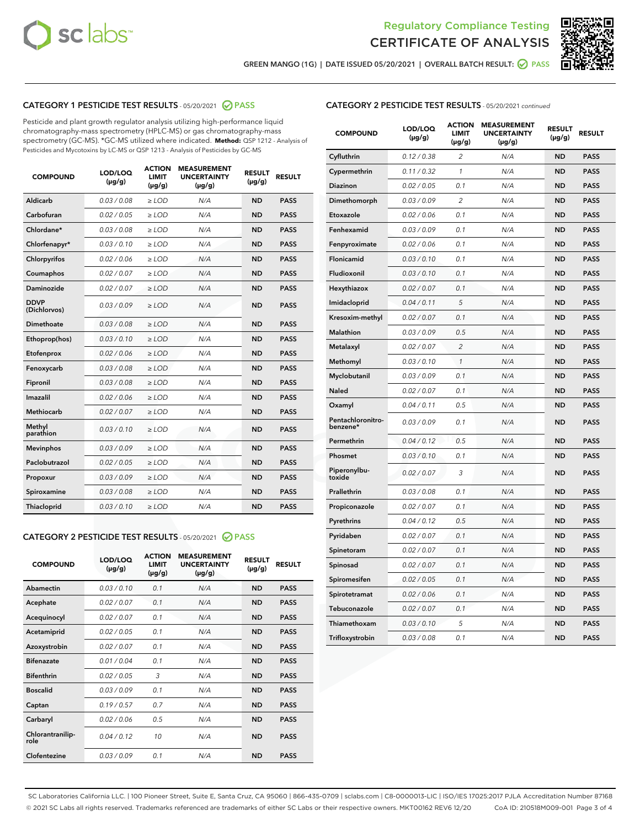



GREEN MANGO (1G) | DATE ISSUED 05/20/2021 | OVERALL BATCH RESULT:  $\bigcirc$  PASS

## CATEGORY 1 PESTICIDE TEST RESULTS - 05/20/2021 2 PASS

Pesticide and plant growth regulator analysis utilizing high-performance liquid chromatography-mass spectrometry (HPLC-MS) or gas chromatography-mass spectrometry (GC-MS). \*GC-MS utilized where indicated. **Method:** QSP 1212 - Analysis of Pesticides and Mycotoxins by LC-MS or QSP 1213 - Analysis of Pesticides by GC-MS

| <b>COMPOUND</b>             | LOD/LOQ<br>$(\mu g/g)$ | <b>ACTION</b><br><b>LIMIT</b><br>$(\mu g/g)$ | <b>MEASUREMENT</b><br><b>UNCERTAINTY</b><br>$(\mu g/g)$ | <b>RESULT</b><br>$(\mu g/g)$ | <b>RESULT</b> |
|-----------------------------|------------------------|----------------------------------------------|---------------------------------------------------------|------------------------------|---------------|
| Aldicarb                    | 0.03 / 0.08            | $\ge$ LOD                                    | N/A                                                     | <b>ND</b>                    | <b>PASS</b>   |
| Carbofuran                  | 0.02 / 0.05            | $\ge$ LOD                                    | N/A                                                     | <b>ND</b>                    | <b>PASS</b>   |
| Chlordane*                  | 0.03 / 0.08            | $\ge$ LOD                                    | N/A                                                     | <b>ND</b>                    | <b>PASS</b>   |
| Chlorfenapyr*               | 0.03/0.10              | $\ge$ LOD                                    | N/A                                                     | <b>ND</b>                    | <b>PASS</b>   |
| Chlorpyrifos                | 0.02 / 0.06            | $\ge$ LOD                                    | N/A                                                     | <b>ND</b>                    | <b>PASS</b>   |
| Coumaphos                   | 0.02 / 0.07            | $\ge$ LOD                                    | N/A                                                     | <b>ND</b>                    | <b>PASS</b>   |
| Daminozide                  | 0.02 / 0.07            | $\ge$ LOD                                    | N/A                                                     | <b>ND</b>                    | <b>PASS</b>   |
| <b>DDVP</b><br>(Dichlorvos) | 0.03/0.09              | $>$ LOD                                      | N/A                                                     | <b>ND</b>                    | <b>PASS</b>   |
| Dimethoate                  | 0.03/0.08              | $\ge$ LOD                                    | N/A                                                     | <b>ND</b>                    | <b>PASS</b>   |
| Ethoprop(hos)               | 0.03/0.10              | $>$ LOD                                      | N/A                                                     | <b>ND</b>                    | <b>PASS</b>   |
| Etofenprox                  | 0.02 / 0.06            | $\ge$ LOD                                    | N/A                                                     | <b>ND</b>                    | <b>PASS</b>   |
| Fenoxycarb                  | 0.03/0.08              | $\ge$ LOD                                    | N/A                                                     | <b>ND</b>                    | <b>PASS</b>   |
| Fipronil                    | 0.03/0.08              | $\ge$ LOD                                    | N/A                                                     | <b>ND</b>                    | <b>PASS</b>   |
| Imazalil                    | 0.02 / 0.06            | $>$ LOD                                      | N/A                                                     | <b>ND</b>                    | <b>PASS</b>   |
| <b>Methiocarb</b>           | 0.02 / 0.07            | $\ge$ LOD                                    | N/A                                                     | <b>ND</b>                    | <b>PASS</b>   |
| Methyl<br>parathion         | 0.03/0.10              | $\ge$ LOD                                    | N/A                                                     | <b>ND</b>                    | <b>PASS</b>   |
| <b>Mevinphos</b>            | 0.03/0.09              | $\ge$ LOD                                    | N/A                                                     | <b>ND</b>                    | <b>PASS</b>   |
| Paclobutrazol               | 0.02 / 0.05            | $>$ LOD                                      | N/A                                                     | <b>ND</b>                    | <b>PASS</b>   |
| Propoxur                    | 0.03/0.09              | $\ge$ LOD                                    | N/A                                                     | <b>ND</b>                    | <b>PASS</b>   |
| Spiroxamine                 | 0.03/0.08              | $\ge$ LOD                                    | N/A                                                     | <b>ND</b>                    | <b>PASS</b>   |
| Thiacloprid                 | 0.03/0.10              | $\ge$ LOD                                    | N/A                                                     | <b>ND</b>                    | <b>PASS</b>   |

#### CATEGORY 2 PESTICIDE TEST RESULTS - 05/20/2021 @ PASS

| <b>COMPOUND</b>          | LOD/LOO<br>$(\mu g/g)$ | <b>ACTION</b><br>LIMIT<br>$(\mu g/g)$ | <b>MEASUREMENT</b><br><b>UNCERTAINTY</b><br>$(\mu g/g)$ | <b>RESULT</b><br>$(\mu g/g)$ | <b>RESULT</b> |  |
|--------------------------|------------------------|---------------------------------------|---------------------------------------------------------|------------------------------|---------------|--|
| Abamectin                | 0.03/0.10              | 0.1                                   | N/A                                                     | <b>ND</b>                    | <b>PASS</b>   |  |
| Acephate                 | 0.02/0.07              | 0.1                                   | N/A                                                     | <b>ND</b>                    | <b>PASS</b>   |  |
| Acequinocyl              | 0.02/0.07              | 0.1                                   | N/A                                                     | <b>ND</b>                    | <b>PASS</b>   |  |
| Acetamiprid              | 0.02 / 0.05            | 0.1                                   | N/A                                                     | <b>ND</b>                    | <b>PASS</b>   |  |
| Azoxystrobin             | 0.02/0.07              | 0.1                                   | N/A                                                     | <b>ND</b>                    | <b>PASS</b>   |  |
| <b>Bifenazate</b>        | 0.01 / 0.04            | 0.1                                   | N/A                                                     | <b>ND</b>                    | <b>PASS</b>   |  |
| <b>Bifenthrin</b>        | 0.02/0.05              | 3                                     | N/A                                                     | <b>ND</b>                    | <b>PASS</b>   |  |
| <b>Boscalid</b>          | 0.03/0.09              | 0.1                                   | N/A                                                     | <b>ND</b>                    | <b>PASS</b>   |  |
| Captan                   | 0.19/0.57              | 0.7                                   | N/A                                                     | <b>ND</b>                    | <b>PASS</b>   |  |
| Carbaryl                 | 0.02/0.06              | 0.5                                   | N/A                                                     | <b>ND</b>                    | <b>PASS</b>   |  |
| Chlorantranilip-<br>role | 0.04/0.12              | 10                                    | N/A                                                     | <b>ND</b>                    | <b>PASS</b>   |  |
| Clofentezine             | 0.03/0.09              | 0.1                                   | N/A                                                     | <b>ND</b>                    | <b>PASS</b>   |  |

| <b>COMPOUND</b>               | LOD/LOQ<br>(µg/g) | <b>ACTION</b><br><b>LIMIT</b><br>(µg/g) | <b>MEASUREMENT</b><br><b>UNCERTAINTY</b><br>$(\mu g/g)$ | <b>RESULT</b><br>(µg/g) | <b>RESULT</b> |
|-------------------------------|-------------------|-----------------------------------------|---------------------------------------------------------|-------------------------|---------------|
| Cyfluthrin                    | 0.12 / 0.38       | $\overline{c}$                          | N/A                                                     | <b>ND</b>               | <b>PASS</b>   |
| Cypermethrin                  | 0.11 / 0.32       | $\mathcal{I}$                           | N/A                                                     | <b>ND</b>               | <b>PASS</b>   |
| <b>Diazinon</b>               | 0.02 / 0.05       | 0.1                                     | N/A                                                     | <b>ND</b>               | <b>PASS</b>   |
| Dimethomorph                  | 0.03 / 0.09       | 2                                       | N/A                                                     | <b>ND</b>               | <b>PASS</b>   |
| Etoxazole                     | 0.02 / 0.06       | 0.1                                     | N/A                                                     | <b>ND</b>               | <b>PASS</b>   |
| Fenhexamid                    | 0.03 / 0.09       | 0.1                                     | N/A                                                     | <b>ND</b>               | <b>PASS</b>   |
| Fenpyroximate                 | 0.02 / 0.06       | 0.1                                     | N/A                                                     | <b>ND</b>               | <b>PASS</b>   |
| Flonicamid                    | 0.03 / 0.10       | 0.1                                     | N/A                                                     | <b>ND</b>               | <b>PASS</b>   |
| Fludioxonil                   | 0.03/0.10         | 0.1                                     | N/A                                                     | <b>ND</b>               | <b>PASS</b>   |
| Hexythiazox                   | 0.02 / 0.07       | 0.1                                     | N/A                                                     | <b>ND</b>               | <b>PASS</b>   |
| Imidacloprid                  | 0.04 / 0.11       | 5                                       | N/A                                                     | <b>ND</b>               | <b>PASS</b>   |
| Kresoxim-methyl               | 0.02 / 0.07       | 0.1                                     | N/A                                                     | <b>ND</b>               | <b>PASS</b>   |
| <b>Malathion</b>              | 0.03 / 0.09       | 0.5                                     | N/A                                                     | <b>ND</b>               | <b>PASS</b>   |
| Metalaxyl                     | 0.02 / 0.07       | $\overline{c}$                          | N/A                                                     | <b>ND</b>               | <b>PASS</b>   |
| Methomyl                      | 0.03 / 0.10       | 1                                       | N/A                                                     | <b>ND</b>               | <b>PASS</b>   |
| Myclobutanil                  | 0.03 / 0.09       | 0.1                                     | N/A                                                     | <b>ND</b>               | <b>PASS</b>   |
| Naled                         | 0.02 / 0.07       | 0.1                                     | N/A                                                     | <b>ND</b>               | <b>PASS</b>   |
| Oxamyl                        | 0.04 / 0.11       | 0.5                                     | N/A                                                     | <b>ND</b>               | <b>PASS</b>   |
| Pentachloronitro-<br>benzene* | 0.03 / 0.09       | 0.1                                     | N/A                                                     | <b>ND</b>               | <b>PASS</b>   |
| Permethrin                    | 0.04 / 0.12       | 0.5                                     | N/A                                                     | <b>ND</b>               | <b>PASS</b>   |
| Phosmet                       | 0.03 / 0.10       | 0.1                                     | N/A                                                     | <b>ND</b>               | <b>PASS</b>   |
| Piperonylbu-<br>toxide        | 0.02 / 0.07       | 3                                       | N/A                                                     | <b>ND</b>               | <b>PASS</b>   |
| Prallethrin                   | 0.03 / 0.08       | 0.1                                     | N/A                                                     | <b>ND</b>               | <b>PASS</b>   |
| Propiconazole                 | 0.02 / 0.07       | 0.1                                     | N/A                                                     | <b>ND</b>               | <b>PASS</b>   |
| Pyrethrins                    | 0.04 / 0.12       | 0.5                                     | N/A                                                     | <b>ND</b>               | <b>PASS</b>   |
| Pyridaben                     | 0.02 / 0.07       | 0.1                                     | N/A                                                     | <b>ND</b>               | <b>PASS</b>   |
| Spinetoram                    | 0.02 / 0.07       | 0.1                                     | N/A                                                     | <b>ND</b>               | <b>PASS</b>   |
| Spinosad                      | 0.02 / 0.07       | 0.1                                     | N/A                                                     | <b>ND</b>               | <b>PASS</b>   |
| Spiromesifen                  | 0.02 / 0.05       | 0.1                                     | N/A                                                     | <b>ND</b>               | <b>PASS</b>   |
| Spirotetramat                 | 0.02 / 0.06       | 0.1                                     | N/A                                                     | <b>ND</b>               | <b>PASS</b>   |
| Tebuconazole                  | 0.02 / 0.07       | 0.1                                     | N/A                                                     | <b>ND</b>               | <b>PASS</b>   |
| Thiamethoxam                  | 0.03 / 0.10       | 5                                       | N/A                                                     | <b>ND</b>               | <b>PASS</b>   |
| Trifloxystrobin               | 0.03 / 0.08       | 0.1                                     | N/A                                                     | <b>ND</b>               | <b>PASS</b>   |

SC Laboratories California LLC. | 100 Pioneer Street, Suite E, Santa Cruz, CA 95060 | 866-435-0709 | sclabs.com | C8-0000013-LIC | ISO/IES 17025:2017 PJLA Accreditation Number 87168 © 2021 SC Labs all rights reserved. Trademarks referenced are trademarks of either SC Labs or their respective owners. MKT00162 REV6 12/20 CoA ID: 210518M009-001 Page 3 of 4